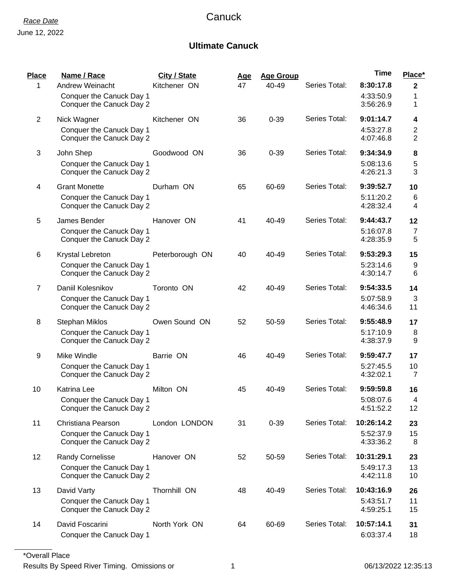## **Ultimate Canuck**

| Place          | Name / Race                                                                     | City / State    | <u>Age</u> | <b>Age Group</b> |               | <b>Time</b>                          | Place*                            |
|----------------|---------------------------------------------------------------------------------|-----------------|------------|------------------|---------------|--------------------------------------|-----------------------------------|
| 1              | Andrew Weinacht<br>Conquer the Canuck Day 1<br>Conquer the Canuck Day 2         | Kitchener ON    | 47         | 40-49            | Series Total: | 8:30:17.8<br>4:33:50.9<br>3:56:26.9  | $\boldsymbol{2}$<br>1<br>1        |
| $\overline{2}$ | Nick Wagner<br>Conquer the Canuck Day 1<br>Conquer the Canuck Day 2             | Kitchener ON    | 36         | $0 - 39$         | Series Total: | 9:01:14.7<br>4:53:27.8<br>4:07:46.8  | 4<br>$\overline{\mathbf{c}}$<br>2 |
| 3              | John Shep<br>Conquer the Canuck Day 1<br>Conquer the Canuck Day 2               | Goodwood ON     | 36         | $0 - 39$         | Series Total: | 9:34:34.9<br>5:08:13.6<br>4:26:21.3  | 8<br>5<br>3                       |
| 4              | <b>Grant Monette</b><br>Conquer the Canuck Day 1<br>Conquer the Canuck Day 2    | Durham ON       | 65         | 60-69            | Series Total: | 9:39:52.7<br>5:11:20.2<br>4:28:32.4  | 10<br>6<br>4                      |
| 5              | James Bender<br>Conquer the Canuck Day 1<br>Conquer the Canuck Day 2            | Hanover ON      | 41         | 40-49            | Series Total: | 9:44:43.7<br>5:16:07.8<br>4:28:35.9  | 12<br>$\overline{7}$<br>5         |
| 6              | Krystal Lebreton<br>Conquer the Canuck Day 1<br>Conquer the Canuck Day 2        | Peterborough ON | 40         | 40-49            | Series Total: | 9:53:29.3<br>5:23:14.6<br>4:30:14.7  | 15<br>9<br>6                      |
| $\overline{7}$ | Daniil Kolesnikov<br>Conquer the Canuck Day 1<br>Conquer the Canuck Day 2       | Toronto ON      | 42         | 40-49            | Series Total: | 9:54:33.5<br>5:07:58.9<br>4:46:34.6  | 14<br>3<br>11                     |
| 8              | <b>Stephan Miklos</b><br>Conquer the Canuck Day 1<br>Conquer the Canuck Day 2   | Owen Sound ON   | 52         | 50-59            | Series Total: | 9:55:48.9<br>5:17:10.9<br>4:38:37.9  | 17<br>8<br>9                      |
| 9              | Mike Windle<br>Conquer the Canuck Day 1<br>Conquer the Canuck Day 2             | Barrie ON       | 46         | 40-49            | Series Total: | 9:59:47.7<br>5:27:45.5<br>4:32:02.1  | 17<br>10<br>$\overline{7}$        |
| 10             | <b>Katrina Lee</b><br>Conquer the Canuck Day 1<br>Conquer the Canuck Day 2      | Milton ON       | 45         | 40-49            | Series Total: | 9:59:59.8<br>5:08:07.6<br>4:51:52.2  | 16<br>4<br>12                     |
| 11             | Christiana Pearson<br>Conquer the Canuck Day 1<br>Conquer the Canuck Day 2      | London LONDON   | 31         | $0 - 39$         | Series Total: | 10:26:14.2<br>5:52:37.9<br>4:33:36.2 | 23<br>15<br>8                     |
| 12             | <b>Randy Cornelisse</b><br>Conquer the Canuck Day 1<br>Conquer the Canuck Day 2 | Hanover ON      | 52         | 50-59            | Series Total: | 10:31:29.1<br>5:49:17.3<br>4:42:11.8 | 23<br>13<br>10                    |
| 13             | David Varty<br>Conquer the Canuck Day 1<br>Conquer the Canuck Day 2             | Thornhill ON    | 48         | 40-49            | Series Total: | 10:43:16.9<br>5:43:51.7<br>4:59:25.1 | 26<br>11<br>15                    |
| 14             | David Foscarini<br>Conquer the Canuck Day 1                                     | North York ON   | 64         | 60-69            | Series Total: | 10:57:14.1<br>6:03:37.4              | 31<br>18                          |

\*Overall Place

Results By Speed River Timing. Omissions or 1 1 and 1 06/13/2022 12:35:13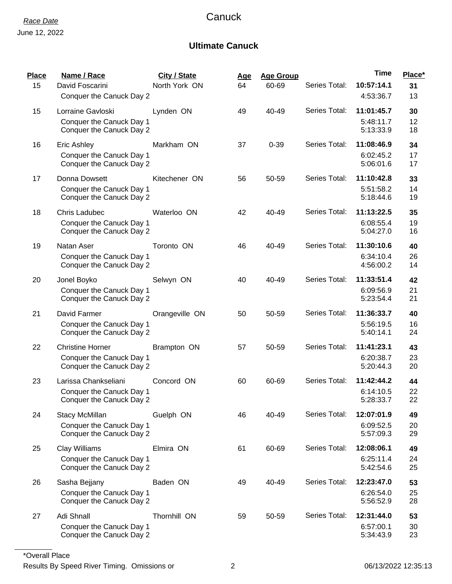## *Race Date* Canuck

### **Ultimate Canuck**

| Place<br>15 | Name / Race<br>David Foscarini                                                                        | City / State<br>North York ON | <u>Age</u><br>64 | <b>Age Group</b><br>60-69 | Series Total: | <b>Time</b><br>10:57:14.1                         | Place*<br>31         |
|-------------|-------------------------------------------------------------------------------------------------------|-------------------------------|------------------|---------------------------|---------------|---------------------------------------------------|----------------------|
| 15          | Conquer the Canuck Day 2<br>Lorraine Gavloski<br>Conquer the Canuck Day 1<br>Conquer the Canuck Day 2 | Lynden ON                     | 49               | 40-49                     | Series Total: | 4:53:36.7<br>11:01:45.7<br>5:48:11.7<br>5:13:33.9 | 13<br>30<br>12<br>18 |
| 16          | Eric Ashley<br>Conquer the Canuck Day 1<br>Conquer the Canuck Day 2                                   | Markham ON                    | 37               | $0 - 39$                  | Series Total: | 11:08:46.9<br>6:02:45.2<br>5:06:01.6              | 34<br>17<br>17       |
| 17          | Donna Dowsett<br>Conquer the Canuck Day 1<br>Conquer the Canuck Day 2                                 | Kitechener ON                 | 56               | 50-59                     | Series Total: | 11:10:42.8<br>5:51:58.2<br>5:18:44.6              | 33<br>14<br>19       |
| 18          | <b>Chris Ladubec</b><br>Conquer the Canuck Day 1<br>Conquer the Canuck Day 2                          | Waterloo ON                   | 42               | 40-49                     | Series Total: | 11:13:22.5<br>6:08:55.4<br>5:04:27.0              | 35<br>19<br>16       |
| 19          | Natan Aser<br>Conquer the Canuck Day 1<br>Conquer the Canuck Day 2                                    | Toronto ON                    | 46               | 40-49                     | Series Total: | 11:30:10.6<br>6:34:10.4<br>4:56:00.2              | 40<br>26<br>14       |
| 20          | Jonel Boyko<br>Conquer the Canuck Day 1<br>Conquer the Canuck Day 2                                   | Selwyn ON                     | 40               | 40-49                     | Series Total: | 11:33:51.4<br>6:09:56.9<br>5:23:54.4              | 42<br>21<br>21       |
| 21          | David Farmer<br>Conquer the Canuck Day 1<br>Conquer the Canuck Day 2                                  | Orangeville ON                | 50               | 50-59                     | Series Total: | 11:36:33.7<br>5:56:19.5<br>5:40:14.1              | 40<br>16<br>24       |
| 22          | <b>Christine Horner</b><br>Conquer the Canuck Day 1<br>Conquer the Canuck Day 2                       | Brampton ON                   | 57               | 50-59                     | Series Total: | 11:41:23.1<br>6:20:38.7<br>5:20:44.3              | 43<br>23<br>20       |
| 23          | Larissa Chankseliani<br>Conquer the Canuck Day 1<br>Conquer the Canuck Day 2                          | Concord ON                    | 60               | 60-69                     | Series Total: | 11:42:44.2<br>6:14:10.5<br>5:28:33.7              | 44<br>22<br>22       |
| 24          | <b>Stacy McMillan</b><br>Conquer the Canuck Day 1<br>Conquer the Canuck Day 2                         | Guelph ON                     | 46               | 40-49                     | Series Total: | 12:07:01.9<br>6:09:52.5<br>5:57:09.3              | 49<br>20<br>29       |
| 25          | Clay Williams<br>Conquer the Canuck Day 1<br>Conquer the Canuck Day 2                                 | Elmira ON                     | 61               | 60-69                     | Series Total: | 12:08:06.1<br>6:25:11.4<br>5:42:54.6              | 49<br>24<br>25       |
| 26          | Sasha Bejjany<br>Conquer the Canuck Day 1<br>Conquer the Canuck Day 2                                 | Baden ON                      | 49               | 40-49                     | Series Total: | 12:23:47.0<br>6:26:54.0<br>5:56:52.9              | 53<br>25<br>28       |
| 27          | Adi Shnall<br>Conquer the Canuck Day 1<br>Conquer the Canuck Day 2                                    | Thornhill ON                  | 59               | 50-59                     | Series Total: | 12:31:44.0<br>6:57:00.1<br>5:34:43.9              | 53<br>30<br>23       |

\*Overall Place

Results By Speed River Timing. Omissions or 2 2 and 2 06/13/2022 12:35:13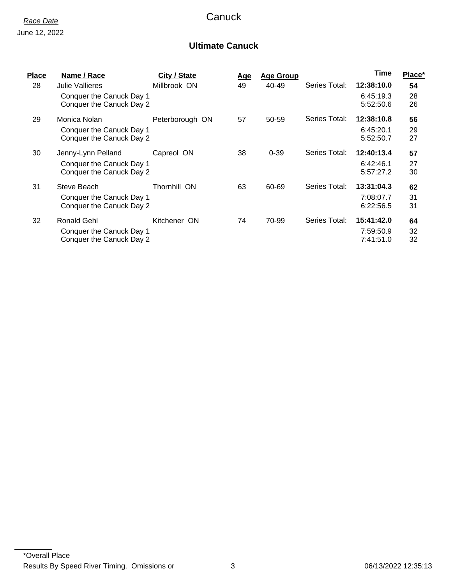## *Race Date* Canuck

#### **Ultimate Canuck**

| <b>Place</b> | Name / Race                                          | City / State    | <u>Age</u> | <b>Age Group</b> |               | Time                   | Place*   |
|--------------|------------------------------------------------------|-----------------|------------|------------------|---------------|------------------------|----------|
| 28           | <b>Julie Vallieres</b>                               | Millbrook ON    | 49         | 40-49            | Series Total: | 12:38:10.0             | 54       |
|              | Conquer the Canuck Day 1<br>Conquer the Canuck Day 2 |                 |            |                  |               | 6:45:19.3<br>5:52:50.6 | 28<br>26 |
| 29           | Monica Nolan                                         | Peterborough ON | 57         | 50-59            | Series Total: | 12:38:10.8             | 56       |
|              | Conquer the Canuck Day 1<br>Conquer the Canuck Day 2 |                 |            |                  |               | 6:45:20.1<br>5:52:50.7 | 29<br>27 |
| 30           | Jenny-Lynn Pelland                                   | Capreol ON      | 38         | $0 - 39$         | Series Total: | 12:40:13.4             | 57       |
|              | Conquer the Canuck Day 1<br>Conquer the Canuck Day 2 |                 |            |                  |               | 6:42:46.1<br>5:57:27.2 | 27<br>30 |
| 31           | Steve Beach                                          | Thornhill ON    | 63         | 60-69            | Series Total: | 13:31:04.3             | 62       |
|              | Conquer the Canuck Day 1<br>Conquer the Canuck Day 2 |                 |            |                  |               | 7:08:07.7<br>6:22:56.5 | 31<br>31 |
| 32           | Ronald Gehl                                          | Kitchener ON    | 74         | 70-99            | Series Total: | 15:41:42.0             | 64       |
|              | Conquer the Canuck Day 1<br>Conquer the Canuck Day 2 |                 |            |                  |               | 7:59:50.9<br>7:41:51.0 | 32<br>32 |
|              |                                                      |                 |            |                  |               |                        |          |